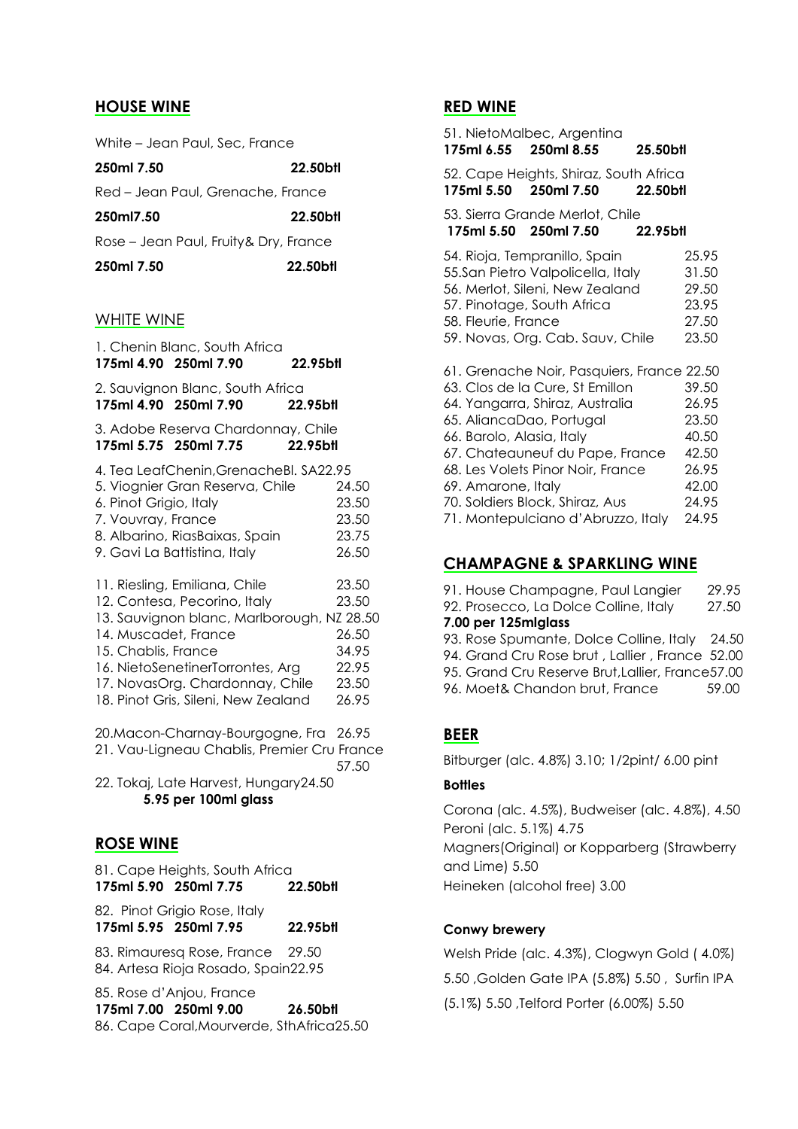### **HOUSE WINE**

White – Jean Paul, Sec, France

| 250ml 7.50                             | 22.50bH  |
|----------------------------------------|----------|
| Red - Jean Paul, Grenache, France      |          |
| 250ml7.50                              | 22.50bH  |
| Rose – Jean Paul, Fruity & Dry, France |          |
| 250ml 7.50                             | 22.50btl |

#### WHITE WINE

| 175ml 4.90 250ml 7.90                        | 1. Chenin Blanc, South Africa                                                                                                                                                                                             | 22.95bll |                                                             |
|----------------------------------------------|---------------------------------------------------------------------------------------------------------------------------------------------------------------------------------------------------------------------------|----------|-------------------------------------------------------------|
| 175ml 4.90 250ml 7.90                        | 2. Sauvignon Blanc, South Africa                                                                                                                                                                                          | 22.95bll |                                                             |
| 175ml 5.75 250ml 7.75                        | 3. Adobe Reserva Chardonnay, Chile                                                                                                                                                                                        | 22.95btl |                                                             |
| 6. Pinot Grigio, Italy<br>7. Vouvray, France | 4. Tea LeafChenin, GrenacheBl. SA22.95<br>5. Viognier Gran Reserva, Chile<br>8. Albarino, RiasBaixas, Spain<br>9. Gavi La Battistina, Italy                                                                               |          | 24.50<br>23.50<br>23.50<br>23.75<br>26.50                   |
| 14. Muscadet, France<br>15. Chablis, France  | 11. Riesling, Emiliana, Chile<br>12. Contesa, Pecorino, Italy<br>13. Sauvignon blanc, Marlborough, NZ 28.50<br>16. NietoSenetinerTorrontes, Arg<br>17. NovasOrg. Chardonnay, Chile<br>18. Pinot Gris, Sileni, New Zealand |          | 23.50<br>23.50<br>26.50<br>34.95<br>22.95<br>23.50<br>26.95 |
|                                              | 20. Macon-Charnay-Bourgogne, Fra 26.95<br>21. Vau-Ligneau Chablis, Premier Cru France                                                                                                                                     |          | 57.50                                                       |
| <b>ROSE WINE</b>                             | 22. Tokaj, Late Harvest, Hungary24.50<br>5.95 per 100ml glass                                                                                                                                                             |          |                                                             |
|                                              |                                                                                                                                                                                                                           |          |                                                             |

81. Cape Heights, South Africa **175ml 5.90 250ml 7.75 22.50btl**

82. Pinot Grigio Rose, Italy **175ml 5.95 250ml 7.95 22.95btl**

83. Rimauresq Rose, France 29.50 84. Artesa Rioja Rosado, Spain22.95

85. Rose d'Anjou, France **175ml 7.00 250ml 9.00 26.50btl** 86. Cape Coral,Mourverde, SthAfrica25.50

### **RED WINE**

| 175ml 6.55 250ml 8.55                                                       | 51. NietoMalbec, Argentina                                                                                                                                                                                                                                        | 25.50btl                                                                      |
|-----------------------------------------------------------------------------|-------------------------------------------------------------------------------------------------------------------------------------------------------------------------------------------------------------------------------------------------------------------|-------------------------------------------------------------------------------|
| 175ml 5.50 250ml 7.50                                                       | 52. Cape Heights, Shiraz, South Africa                                                                                                                                                                                                                            | 22.50bil                                                                      |
| 175ml 5.50 250ml 7.50                                                       | 53. Sierra Grande Merlot, Chile                                                                                                                                                                                                                                   | 22.95bll                                                                      |
| 58. Fleurie, France                                                         | 54. Rioja, Tempranillo, Spain<br>55.San Pietro Valpolicella, Italy<br>56. Merlot, Sileni, New Zealand<br>57. Pinotage, South Africa<br>59. Novas, Org. Cab. Sauv, Chile                                                                                           | 25.95<br>31.50<br>29.50<br>23.95<br>27.50<br>23.50                            |
| 65. AliancaDao, Portugal<br>66. Barolo, Alasia, Italy<br>69. Amarone, Italy | 61. Grenache Noir, Pasquiers, France 22.50<br>63. Clos de la Cure, St Emillon<br>64. Yangarra, Shiraz, Australia<br>67. Chateauneuf du Pape, France<br>68. Les Volets Pinor Noir, France<br>70. Soldiers Block, Shiraz, Aus<br>71. Montepulciano d'Abruzzo, Italy | 39.50<br>26.95<br>23.50<br>40.50<br>42.50<br>26.95<br>42.00<br>24.95<br>24.95 |

## **CHAMPAGNE & SPARKLING WINE**

| 91. House Champagne, Paul Langier                 | 29.95 |
|---------------------------------------------------|-------|
| 92. Prosecco, La Dolce Colline, Italy             | 27.50 |
| 7.00 per 125mlglass                               |       |
| 93. Rose Spumante, Dolce Colline, Italy 24.50     |       |
| 94. Grand Cru Rose brut, Lallier, France 52.00    |       |
| 95. Grand Cru Reserve Brut, Lallier, France 57.00 |       |
| 96. Moet& Chandon brut, France                    | 59.00 |
|                                                   |       |

## **BEER**

Bitburger (alc. 4.8%) 3.10; 1/2pint/ 6.00 pint

## **Bottles**

Corona (alc. 4.5%), Budweiser (alc. 4.8%), 4.50 Peroni (alc. 5.1%) 4.75 Magners(Original) or Kopparberg (Strawberry and Lime) 5.50 Heineken (alcohol free) 3.00

#### **Conwy brewery**

Welsh Pride (alc. 4.3%), Clogwyn Gold ( 4.0%) 5.50 ,Golden Gate IPA (5.8%) 5.50 , Surfin IPA (5.1%) 5.50 ,Telford Porter (6.00%) 5.50